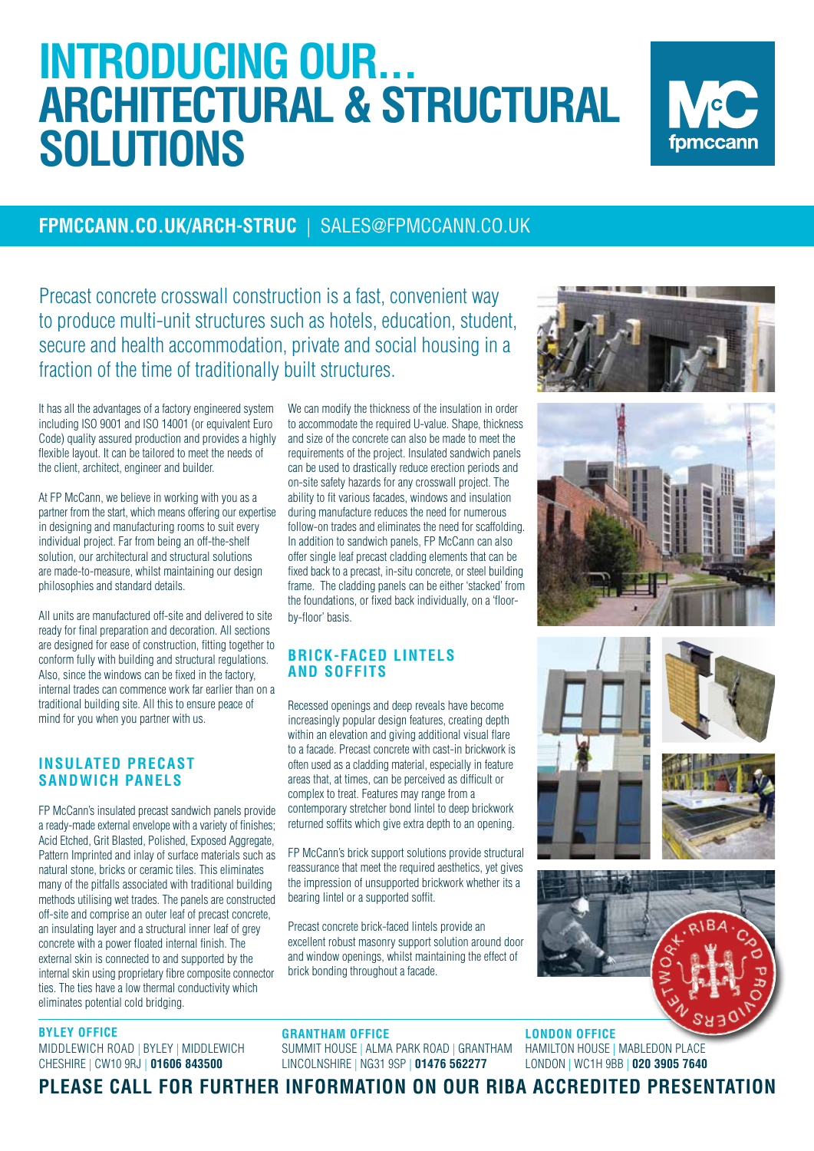# **INTRODUCING OUR... ARCHITECTURAL & STRUCTURAL SOLUTIONS**



### **FPMCCANN.CO.UK/ARCH-STRUC** |SALES@FPMCCANN.CO.UK

Precast concrete crosswall construction is a fast, convenient way to produce multi-unit structures such as hotels, education, student, secure and health accommodation, private and social housing in a fraction of the time of traditionally built structures.

It has all the advantages of a factory engineered system including ISO 9001 and ISO 14001 (or equivalent Euro Code) quality assured production and provides a highly flexible layout. It can be tailored to meet the needs of the client, architect, engineer and builder.

At FP McCann, we believe in working with you as a partner from the start, which means offering our expertise in designing and manufacturing rooms to suit every individual project. Far from being an off-the-shelf solution, our architectural and structural solutions are made-to-measure, whilst maintaining our design philosophies and standard details.

All units are manufactured off-site and delivered to site ready for final preparation and decoration. All sections are designed for ease of construction, fitting together to conform fully with building and structural regulations. Also, since the windows can be fixed in the factory, internal trades can commence work far earlier than on a traditional building site. All this to ensure peace of mind for you when you partner with us.

#### **INSULATED PRECAST SANDWICH PANELS**

FP McCann's insulated precast sandwich panels provide a ready-made external envelope with a variety of finishes; Acid Etched, Grit Blasted, Polished, Exposed Aggregate, Pattern Imprinted and inlay of surface materials such as natural stone, bricks or ceramic tiles. This eliminates many of the pitfalls associated with traditional building methods utilising wet trades. The panels are constructed off-site and comprise an outer leaf of precast concrete, an insulating layer and a structural inner leaf of grey concrete with a power floated internal finish. The external skin is connected to and supported by the internal skin using proprietary fibre composite connector ties. The ties have a low thermal conductivity which eliminates potential cold bridging.

#### **BYLEY OFFICE**

MIDDLEWICH ROAD | BYLEY | MIDDLEWICH CHESHIRE | CW10 9RJ | **01606 843500** 

We can modify the thickness of the insulation in order to accommodate the required U-value. Shape, thickness and size of the concrete can also be made to meet the requirements of the project. Insulated sandwich panels can be used to drastically reduce erection periods and on-site safety hazards for any crosswall project. The ability to fit various facades, windows and insulation during manufacture reduces the need for numerous follow-on trades and eliminates the need for scaffolding. In addition to sandwich panels, FP McCann can also offer single leaf precast cladding elements that can be fixed back to a precast, in-situ concrete, or steel building frame. The cladding panels can be either 'stacked' from the foundations, or fixed back individually, on a 'floorby-floor' basis.

#### **BRICK-FACED LINTELS AND SOFFITS**

Recessed openings and deep reveals have become increasingly popular design features, creating depth within an elevation and giving additional visual flare to a facade. Precast concrete with cast-in brickwork is often used as a cladding material, especially in feature areas that, at times, can be perceived as difficult or complex to treat. Features may range from a contemporary stretcher bond lintel to deep brickwork returned soffits which give extra depth to an opening.

FP McCann's brick support solutions provide structural reassurance that meet the required aesthetics, yet gives the impression of unsupported brickwork whether its a bearing lintel or a supported soffit.

Precast concrete brick-faced lintels provide an excellent robust masonry support solution around door and window openings, whilst maintaining the effect of brick bonding throughout a facade.









**LONDON OFFICE**  HAMILTON HOUSE | MABLEDON PLACE LONDON | WC1H 9BB | **020 3905 7640**

**PLEASE CALL FOR FURTHER INFORMATION ON OUR RIBA ACCREDITED PRESENTATION** 

SUMMIT HOUSE | ALMA PARK ROAD | GRANTHAM LINCOLNSHIRE | NG31 9SP | **01476 562277**

**GRANTHAM OFFICE**